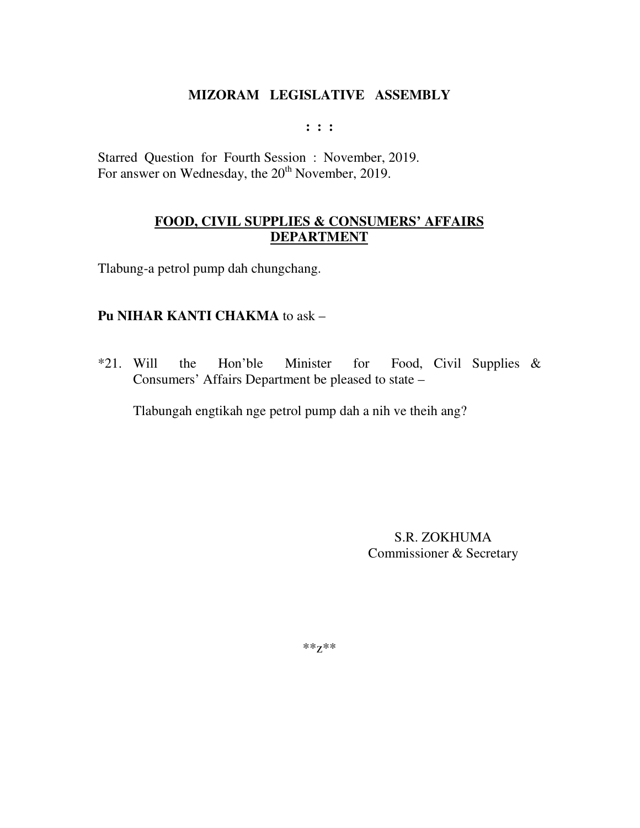**: : :** 

Starred Question for Fourth Session : November, 2019. For answer on Wednesday, the 20<sup>th</sup> November, 2019.

# **FOOD, CIVIL SUPPLIES & CONSUMERS' AFFAIRS DEPARTMENT**

Tlabung-a petrol pump dah chungchang.

### **Pu NIHAR KANTI CHAKMA** to ask –

\*21. Will the Hon'ble Minister for Food, Civil Supplies & Consumers' Affairs Department be pleased to state –

Tlabungah engtikah nge petrol pump dah a nih ve theih ang?

S.R. ZOKHUMA Commissioner & Secretary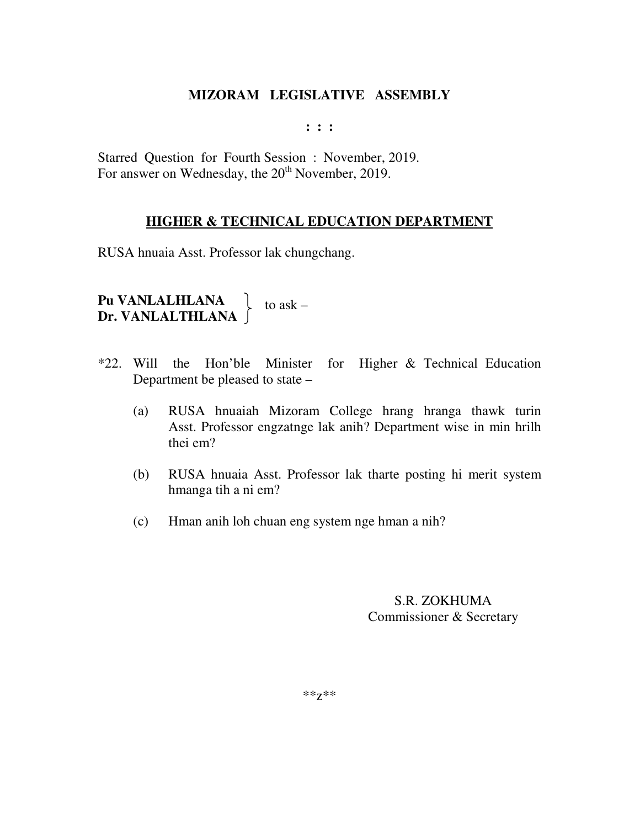**: : :** 

Starred Question for Fourth Session : November, 2019. For answer on Wednesday, the 20<sup>th</sup> November, 2019.

#### **HIGHER & TECHNICAL EDUCATION DEPARTMENT**

RUSA hnuaia Asst. Professor lak chungchang.

**Pu VANLALHLANA Dr. VANLALTHLANA**  to ask –

- \*22. Will the Hon'ble Minister for Higher & Technical Education Department be pleased to state –
	- (a) RUSA hnuaiah Mizoram College hrang hranga thawk turin Asst. Professor engzatnge lak anih? Department wise in min hrilh thei em?
	- (b) RUSA hnuaia Asst. Professor lak tharte posting hi merit system hmanga tih a ni em?
	- (c) Hman anih loh chuan eng system nge hman a nih?

# S.R. ZOKHUMA Commissioner & Secretary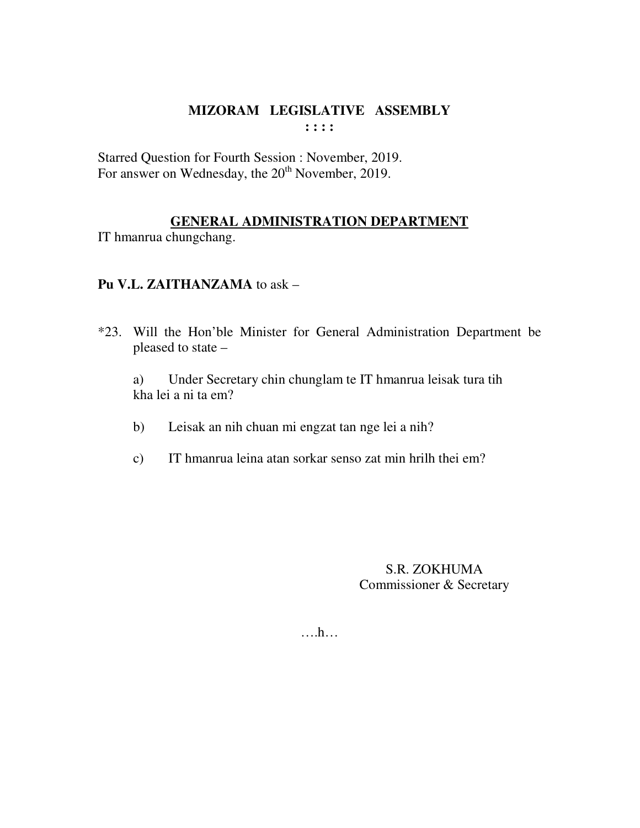# **MIZORAM LEGISLATIVE ASSEMBLY : : : :**

Starred Question for Fourth Session : November, 2019. For answer on Wednesday, the 20<sup>th</sup> November, 2019.

# **GENERAL ADMINISTRATION DEPARTMENT**

IT hmanrua chungchang.

# **Pu V.L. ZAITHANZAMA** to ask –

\*23. Will the Hon'ble Minister for General Administration Department be pleased to state –

 a) Under Secretary chin chunglam te IT hmanrua leisak tura tih kha lei a ni ta em?

- b) Leisak an nih chuan mi engzat tan nge lei a nih?
- c) IT hmanrua leina atan sorkar senso zat min hrilh thei em?

S.R. ZOKHUMA Commissioner & Secretary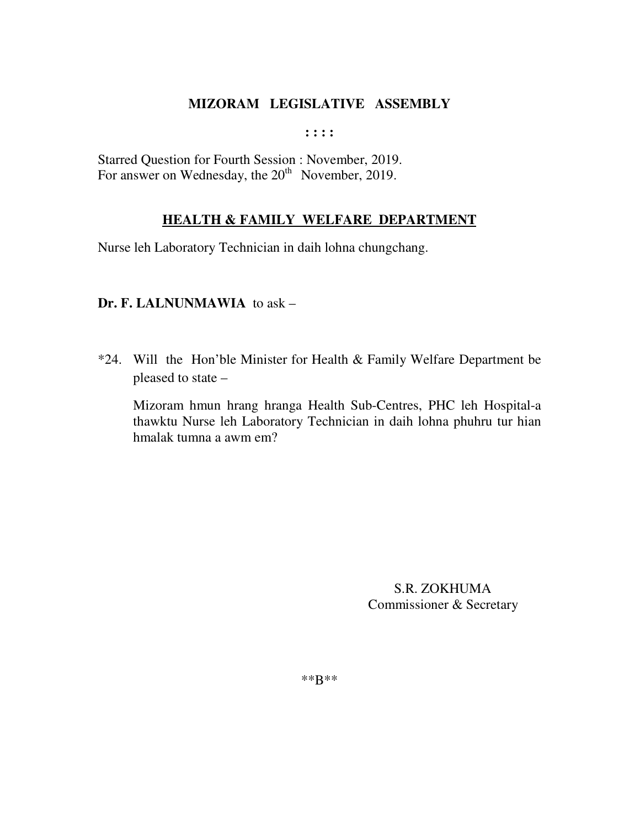**: : : :** 

Starred Question for Fourth Session : November, 2019. For answer on Wednesday, the  $20<sup>th</sup>$  November, 2019.

### **HEALTH & FAMILY WELFARE DEPARTMENT**

Nurse leh Laboratory Technician in daih lohna chungchang.

### **Dr. F. LALNUNMAWIA** to ask –

\*24. Will the Hon'ble Minister for Health & Family Welfare Department be pleased to state –

 Mizoram hmun hrang hranga Health Sub-Centres, PHC leh Hospital-a thawktu Nurse leh Laboratory Technician in daih lohna phuhru tur hian hmalak tumna a awm em?

> S.R. ZOKHUMA Commissioner & Secretary

\*\*B\*\*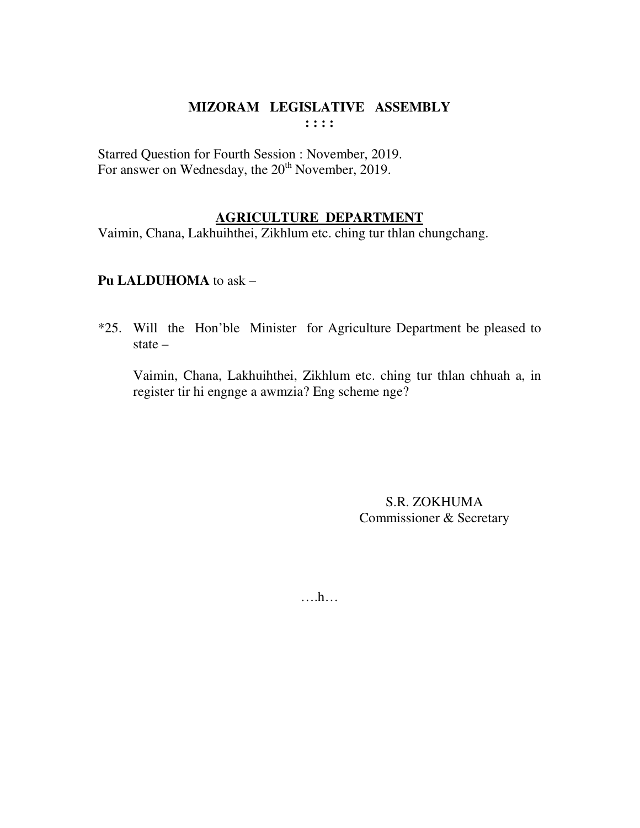# **MIZORAM LEGISLATIVE ASSEMBLY : : : :**

Starred Question for Fourth Session : November, 2019. For answer on Wednesday, the 20<sup>th</sup> November, 2019.

### **AGRICULTURE DEPARTMENT**

Vaimin, Chana, Lakhuihthei, Zikhlum etc. ching tur thlan chungchang.

### **Pu LALDUHOMA** to ask –

\*25. Will the Hon'ble Minister for Agriculture Department be pleased to state –

 Vaimin, Chana, Lakhuihthei, Zikhlum etc. ching tur thlan chhuah a, in register tir hi engnge a awmzia? Eng scheme nge?

> S.R. ZOKHUMA Commissioner & Secretary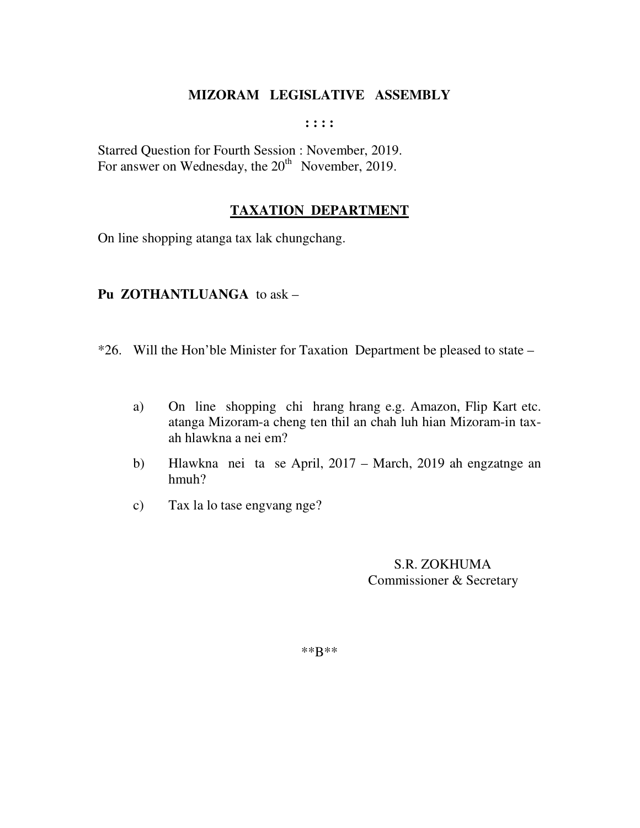**: : : :** 

Starred Question for Fourth Session : November, 2019. For answer on Wednesday, the  $20<sup>th</sup>$  November, 2019.

# **TAXATION DEPARTMENT**

On line shopping atanga tax lak chungchang.

### **Pu ZOTHANTLUANGA** to ask –

- \*26. Will the Hon'ble Minister for Taxation Department be pleased to state
	- a) On line shopping chi hrang hrang e.g. Amazon, Flip Kart etc. atanga Mizoram-a cheng ten thil an chah luh hian Mizoram-in tax ah hlawkna a nei em?
	- b) Hlawkna nei ta se April, 2017 March, 2019 ah engzatnge an hmuh?
	- c) Tax la lo tase engvang nge?

 S.R. ZOKHUMA Commissioner & Secretary

\*\*B\*\*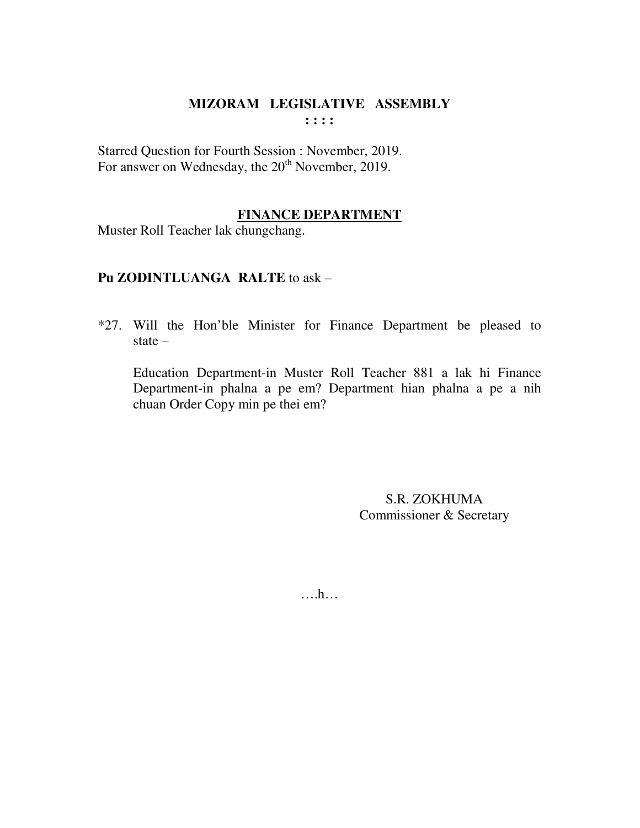$\cdots$ 

Starred Question for Fourth Session : November, 2019. For answer on Wednesday, the 20<sup>th</sup> November, 2019.

# **FINANCE DEPARTMENT**

Muster Roll Teacher lak chungchang.

# Pu ZODINTLUANGA RALTE to ask -

\*27. Will the Hon'ble Minister for Finance Department be pleased to state  $-$ 

Education Department-in Muster Roll Teacher 881 a lak hi Finance Department-in phalna a pe em? Department hian phalna a pe a nih chuan Order Copy min pe thei em?

> S.R. ZOKHUMA Commissioner & Secretary

 $\dots h$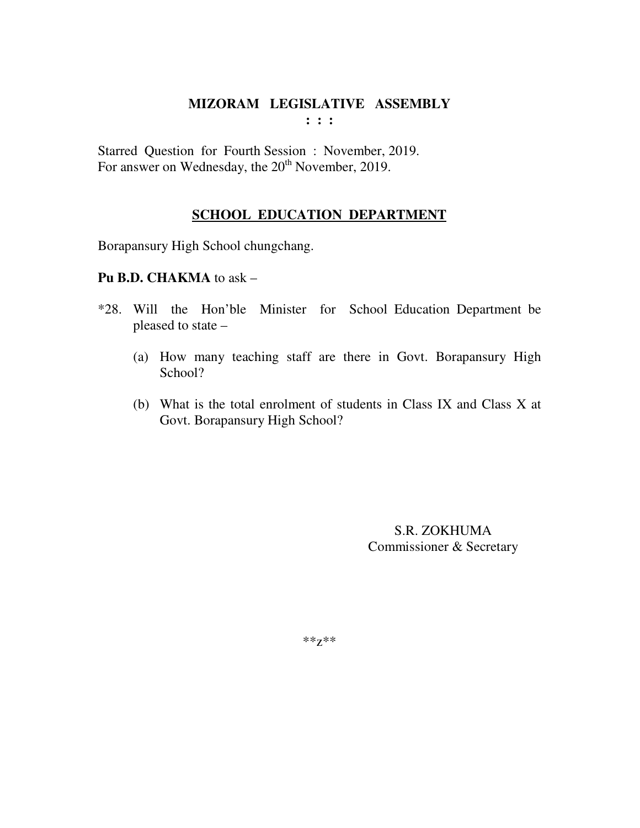**: : :** 

Starred Question for Fourth Session : November, 2019. For answer on Wednesday, the 20<sup>th</sup> November, 2019.

# **SCHOOL EDUCATION DEPARTMENT**

Borapansury High School chungchang.

### **Pu B.D. CHAKMA** to ask –

- \*28. Will the Hon'ble Minister for School Education Department be pleased to state –
	- (a) How many teaching staff are there in Govt. Borapansury High School?
	- (b) What is the total enrolment of students in Class IX and Class X at Govt. Borapansury High School?

S.R. ZOKHUMA Commissioner & Secretary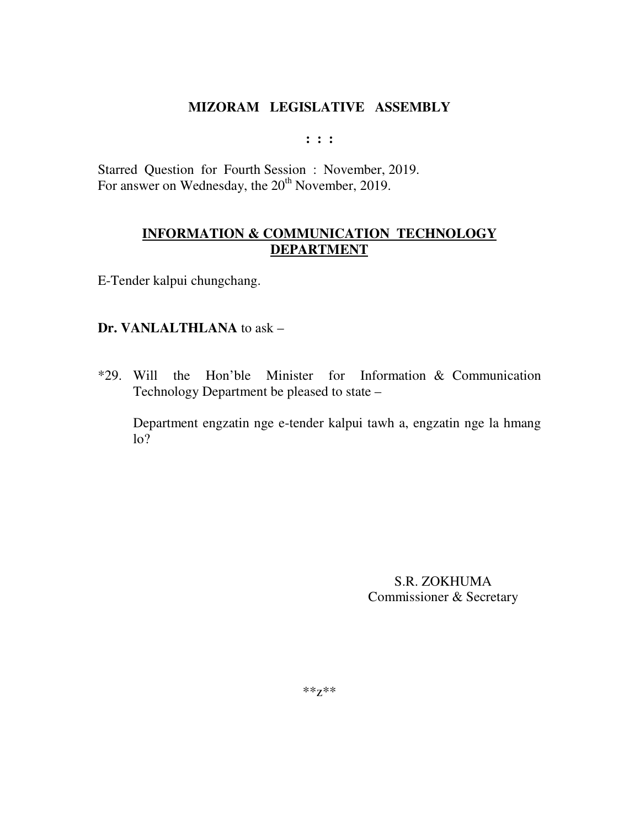**: : :** 

Starred Question for Fourth Session : November, 2019. For answer on Wednesday, the 20<sup>th</sup> November, 2019.

# **INFORMATION & COMMUNICATION TECHNOLOGY DEPARTMENT**

E-Tender kalpui chungchang.

### **Dr. VANLALTHLANA** to ask –

\*29. Will the Hon'ble Minister for Information & Communication Technology Department be pleased to state –

Department engzatin nge e-tender kalpui tawh a, engzatin nge la hmang  $\log$ 

> S.R. ZOKHUMA Commissioner & Secretary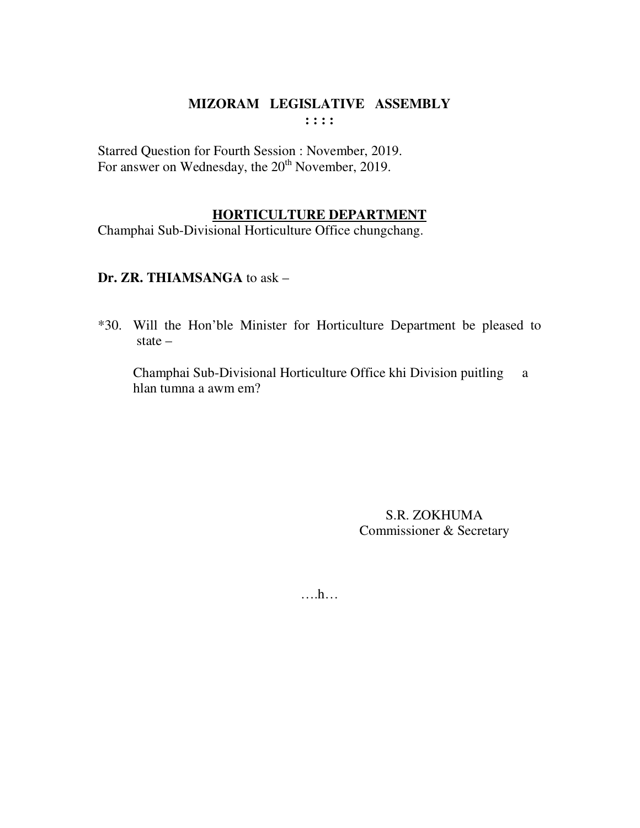Starred Question for Fourth Session : November, 2019. For answer on Wednesday, the 20<sup>th</sup> November, 2019.

### **HORTICULTURE DEPARTMENT**

Champhai Sub-Divisional Horticulture Office chungchang.

# Dr. ZR. THIAMSANGA to ask -

\*30. Will the Hon'ble Minister for Horticulture Department be pleased to state  $-$ 

Champhai Sub-Divisional Horticulture Office khi Division puitling a hlan tumna a awm em?

> S.R. ZOKHUMA Commissioner & Secretary

 $\dots h$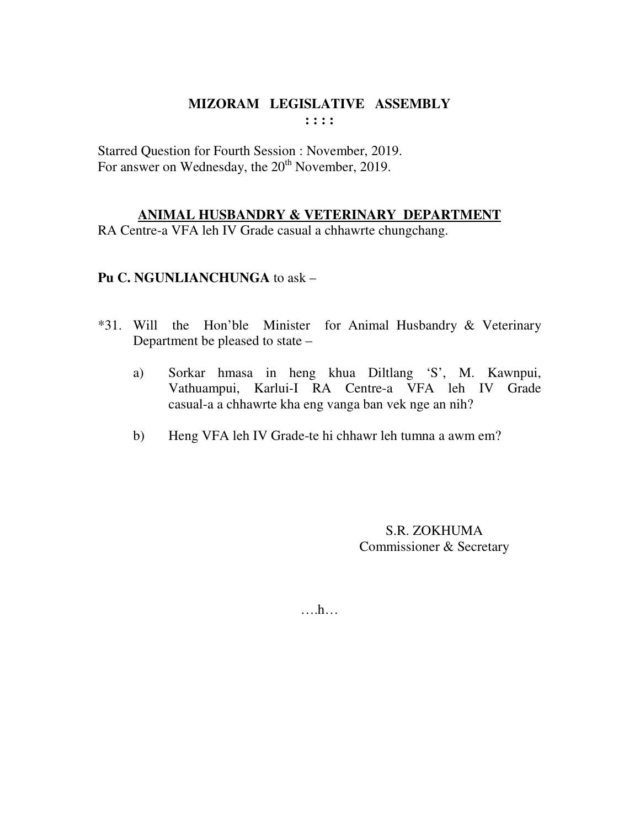$: : : :$ 

Starred Ouestion for Fourth Session : November, 2019. For answer on Wednesday, the 20<sup>th</sup> November, 2019.

# ANIMAL HUSBANDRY & VETERINARY DEPARTMENT

RA Centre-a VFA leh IV Grade casual a chhawrte chungchang.

# Pu C. NGUNLIANCHUNGA to ask -

- \*31. Will the Hon'ble Minister for Animal Husbandry & Veterinary Department be pleased to state –
	- Sorkar hmasa in heng khua Diltlang 'S', M. Kawnpui, a) Vathuampui, Karlui-I RA Centre-a VFA leh IV Grade casual-a a chhawrte kha eng vanga ban vek nge an nih?
	- $b)$ Heng VFA leh IV Grade-te hi chhawr leh tumna a awm em?

S.R. ZOKHUMA Commissioner & Secretary

 $\dots$ ...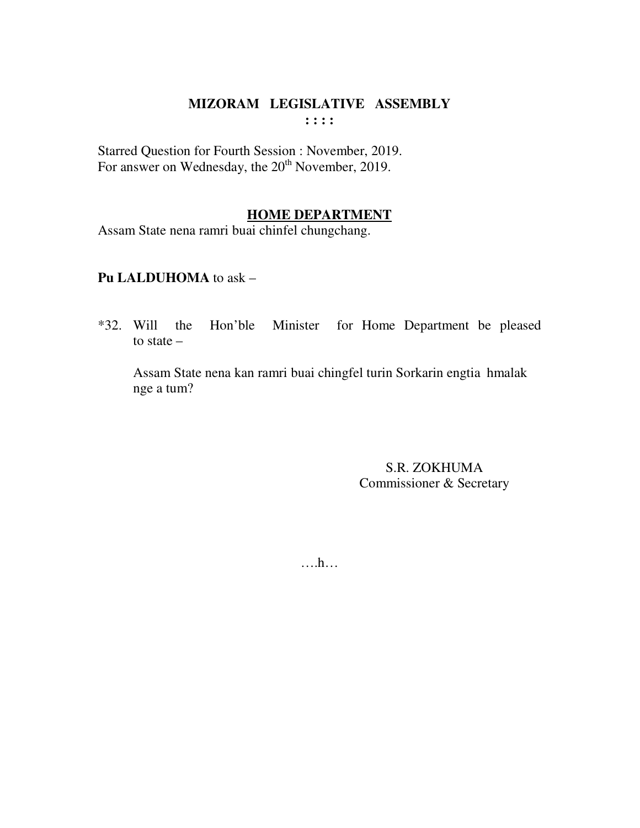**: : : :** 

Starred Question for Fourth Session : November, 2019. For answer on Wednesday, the 20<sup>th</sup> November, 2019.

### **HOME DEPARTMENT**

Assam State nena ramri buai chinfel chungchang.

# **Pu LALDUHOMA** to ask –

\*32. Will the Hon'ble Minister for Home Department be pleased to state –

 Assam State nena kan ramri buai chingfel turin Sorkarin engtia hmalak nge a tum?

> S.R. ZOKHUMA Commissioner & Secretary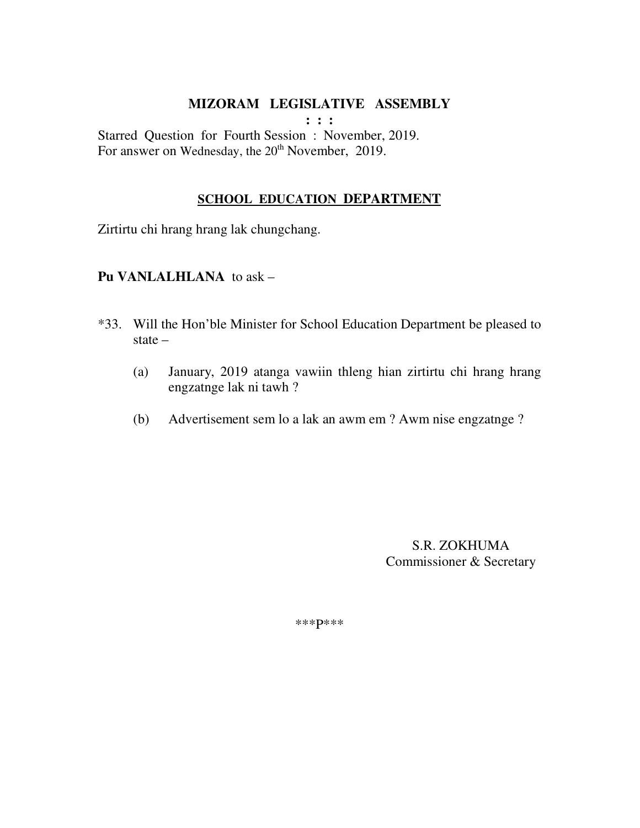**: : :** 

Starred Question for Fourth Session : November, 2019. For answer on Wednesday, the 20<sup>th</sup> November, 2019.

### **SCHOOL EDUCATION DEPARTMENT**

Zirtirtu chi hrang hrang lak chungchang.

### **Pu VANLALHLANA** to ask –

- \*33. Will the Hon'ble Minister for School Education Department be pleased to state –
	- (a) January, 2019 atanga vawiin thleng hian zirtirtu chi hrang hrang engzatnge lak ni tawh ?
	- (b) Advertisement sem lo a lak an awm em ? Awm nise engzatnge ?

 S.R. ZOKHUMA Commissioner & Secretary

\*\*\*P\*\*\*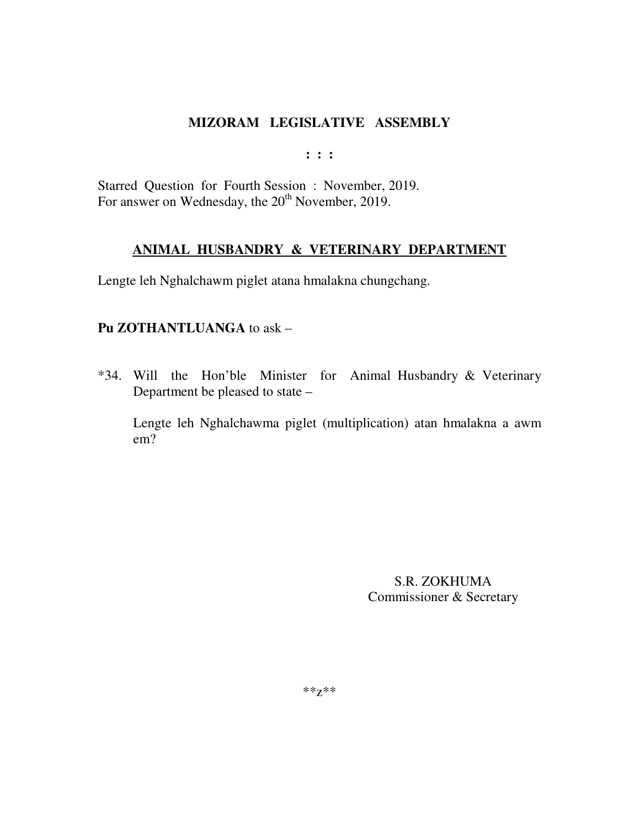**: : :** 

Starred Question for Fourth Session : November, 2019. For answer on Wednesday, the  $20<sup>th</sup>$  November, 2019.

# **ANIMAL HUSBANDRY & VETERINARY DEPARTMENT**

Lengte leh Nghalchawm piglet atana hmalakna chungchang.

# **Pu ZOTHANTLUANGA** to ask –

\*34. Will the Hon'ble Minister for Animal Husbandry & Veterinary Department be pleased to state –

Lengte leh Nghalchawma piglet (multiplication) atan hmalakna a awm em?

> S.R. ZOKHUMA Commissioner & Secretary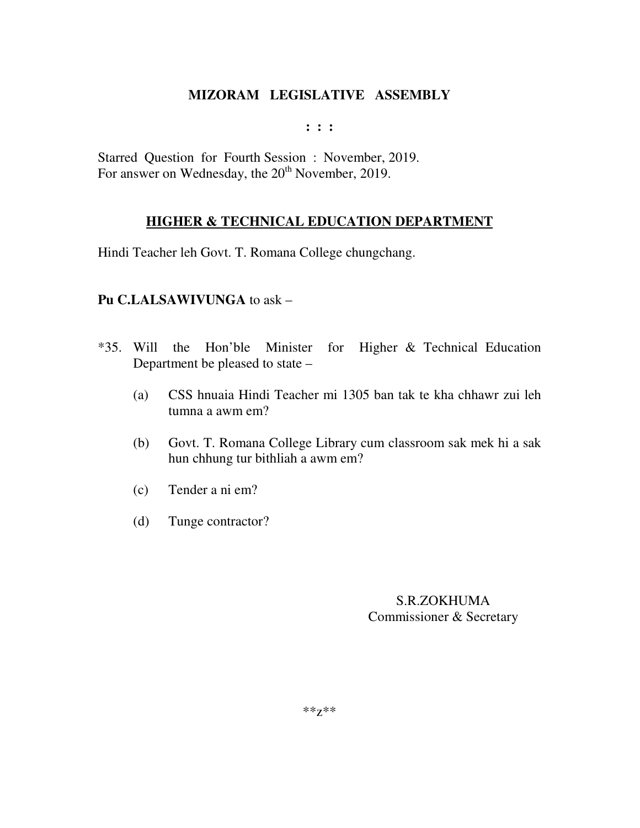**: : :** 

Starred Question for Fourth Session : November, 2019. For answer on Wednesday, the 20<sup>th</sup> November, 2019.

# **HIGHER & TECHNICAL EDUCATION DEPARTMENT**

Hindi Teacher leh Govt. T. Romana College chungchang.

### **Pu C.LALSAWIVUNGA** to ask –

- \*35. Will the Hon'ble Minister for Higher & Technical Education Department be pleased to state –
	- (a) CSS hnuaia Hindi Teacher mi 1305 ban tak te kha chhawr zui leh tumna a awm em?
	- (b) Govt. T. Romana College Library cum classroom sak mek hi a sak hun chhung tur bithliah a awm em?
	- (c) Tender a ni em?
	- (d) Tunge contractor?

# S.R.ZOKHUMA Commissioner & Secretary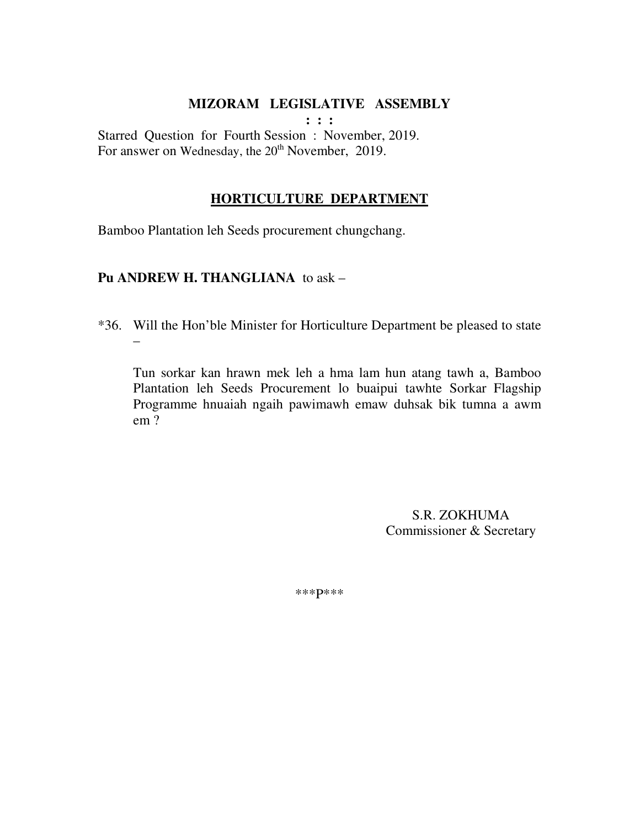**: : :** 

Starred Question for Fourth Session : November, 2019. For answer on Wednesday, the 20<sup>th</sup> November, 2019.

### **HORTICULTURE DEPARTMENT**

Bamboo Plantation leh Seeds procurement chungchang.

### **Pu ANDREW H. THANGLIANA** to ask –

\*36. Will the Hon'ble Minister for Horticulture Department be pleased to state –

 Tun sorkar kan hrawn mek leh a hma lam hun atang tawh a, Bamboo Plantation leh Seeds Procurement lo buaipui tawhte Sorkar Flagship Programme hnuaiah ngaih pawimawh emaw duhsak bik tumna a awm em ?

> S.R. ZOKHUMA Commissioner & Secretary

\*\*\*P\*\*\*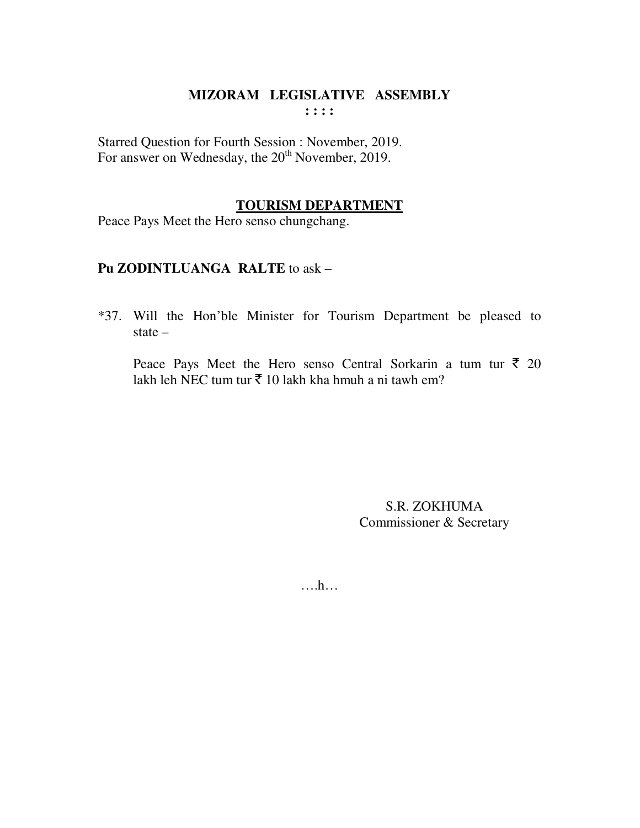### MIZORAM LEGISLATIVE ASSEMBLY  $: : : :$

Starred Question for Fourth Session : November, 2019. For answer on Wednesday, the 20<sup>th</sup> November, 2019.

### **TOURISM DEPARTMENT**

Peace Pays Meet the Hero senso chungchang.

### Pu ZODINTLUANGA RALTE to ask -

\*37. Will the Hon'ble Minister for Tourism Department be pleased to state  $-$ 

Peace Pays Meet the Hero senso Central Sorkarin a tum tur  $\bar{\tau}$  20 lakh leh NEC tum tur  $\bar{\tau}$  10 lakh kha hmuh a ni tawh em?

> S.R. ZOKHUMA Commissioner & Secretary

 $\dots h\dots$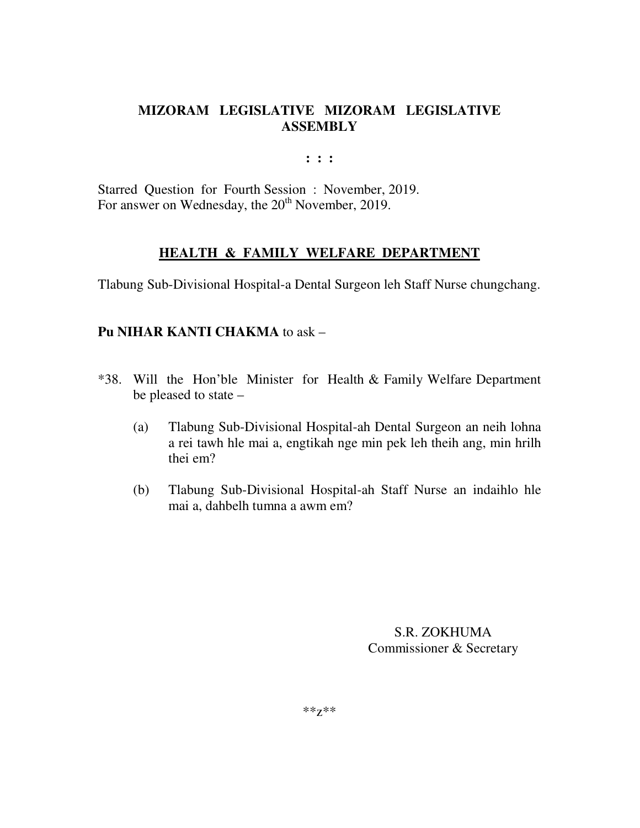# **MIZORAM LEGISLATIVE MIZORAM LEGISLATIVE ASSEMBLY**

**: : :** 

Starred Question for Fourth Session : November, 2019. For answer on Wednesday, the 20<sup>th</sup> November, 2019.

# **HEALTH & FAMILY WELFARE DEPARTMENT**

Tlabung Sub-Divisional Hospital-a Dental Surgeon leh Staff Nurse chungchang.

# **Pu NIHAR KANTI CHAKMA** to ask –

- \*38. Will the Hon'ble Minister for Health & Family Welfare Department be pleased to state –
	- (a) Tlabung Sub-Divisional Hospital-ah Dental Surgeon an neih lohna a rei tawh hle mai a, engtikah nge min pek leh theih ang, min hrilh thei em?
	- (b) Tlabung Sub-Divisional Hospital-ah Staff Nurse an indaihlo hle mai a, dahbelh tumna a awm em?

S.R. ZOKHUMA Commissioner & Secretary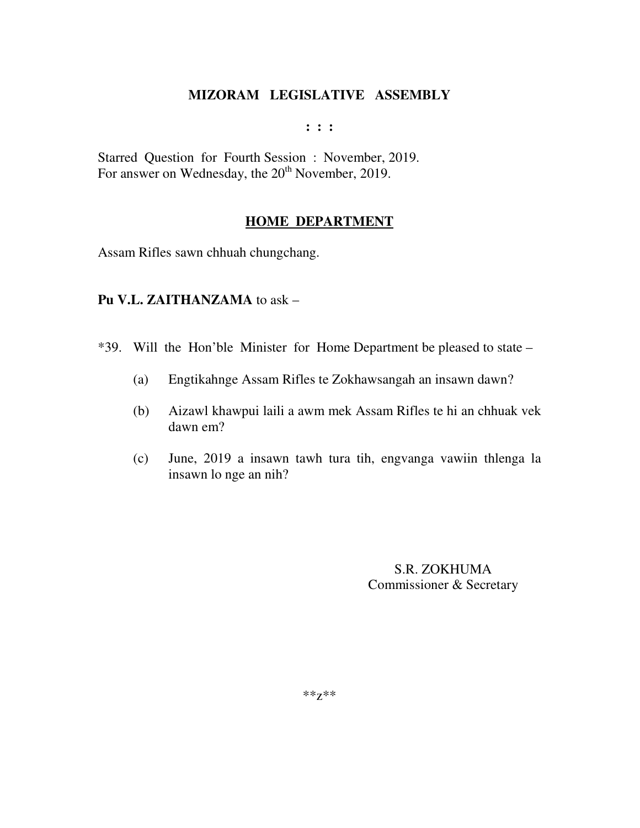**: : :** 

Starred Question for Fourth Session : November, 2019. For answer on Wednesday, the 20<sup>th</sup> November, 2019.

### **HOME DEPARTMENT**

Assam Rifles sawn chhuah chungchang.

### **Pu V.L. ZAITHANZAMA** to ask –

\*39. Will the Hon'ble Minister for Home Department be pleased to state –

- (a) Engtikahnge Assam Rifles te Zokhawsangah an insawn dawn?
- (b) Aizawl khawpui laili a awm mek Assam Rifles te hi an chhuak vek dawn em?
- (c) June, 2019 a insawn tawh tura tih, engvanga vawiin thlenga la insawn lo nge an nih?

S.R. ZOKHUMA Commissioner & Secretary